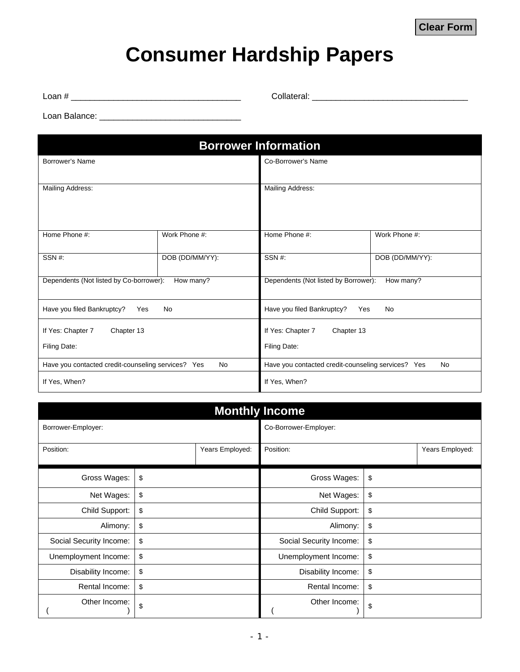## **Consumer Hardship Papers**

Loan # \_\_\_\_\_\_\_\_\_\_\_\_\_\_\_\_\_\_\_\_\_\_\_\_\_\_\_\_\_\_\_\_\_\_\_\_ Collateral: \_\_\_\_\_\_\_\_\_\_\_\_\_\_\_\_\_\_\_\_\_\_\_\_\_\_\_\_\_\_\_\_\_

Loan Balance: \_\_\_\_\_\_\_\_\_\_\_\_\_\_\_\_\_\_\_\_\_\_\_\_\_\_\_\_\_\_

| <b>Borrower Information</b>                                     |                 |                                                          |                 |  |  |
|-----------------------------------------------------------------|-----------------|----------------------------------------------------------|-----------------|--|--|
| Borrower's Name                                                 |                 | Co-Borrower's Name                                       |                 |  |  |
| <b>Mailing Address:</b>                                         |                 | Mailing Address:                                         |                 |  |  |
| Home Phone #:                                                   | Work Phone #:   | Home Phone #:                                            | Work Phone #:   |  |  |
| SSN#:                                                           | DOB (DD/MM/YY): | SSN#:                                                    | DOB (DD/MM/YY): |  |  |
| Dependents (Not listed by Co-borrower):<br>How many?            |                 | Dependents (Not listed by Borrower):<br>How many?        |                 |  |  |
| Have you filed Bankruptcy?<br><b>No</b><br>Yes                  |                 | Have you filed Bankruptcy?<br>Yes<br><b>No</b>           |                 |  |  |
| If Yes: Chapter 7<br>Chapter 13                                 |                 | If Yes: Chapter 7<br>Chapter 13                          |                 |  |  |
| Filing Date:                                                    |                 | Filing Date:                                             |                 |  |  |
| Have you contacted credit-counseling services? Yes<br><b>No</b> |                 | Have you contacted credit-counseling services? Yes<br>No |                 |  |  |
| If Yes, When?                                                   |                 | If Yes, When?                                            |                 |  |  |

| <b>Monthly Income</b>   |    |                       |                         |    |                 |  |
|-------------------------|----|-----------------------|-------------------------|----|-----------------|--|
| Borrower-Employer:      |    | Co-Borrower-Employer: |                         |    |                 |  |
| Position:               |    | Years Employed:       | Position:               |    | Years Employed: |  |
| Gross Wages:            | \$ |                       | Gross Wages:            | \$ |                 |  |
| Net Wages:              | \$ |                       | Net Wages:              | \$ |                 |  |
| Child Support:          | \$ |                       | Child Support:          | \$ |                 |  |
| Alimony:                | \$ |                       | Alimony:                | \$ |                 |  |
| Social Security Income: | \$ |                       | Social Security Income: | \$ |                 |  |
| Unemployment Income:    | \$ |                       | Unemployment Income:    | \$ |                 |  |
| Disability Income:      | \$ |                       | Disability Income:      | \$ |                 |  |
| Rental Income:          | \$ |                       | Rental Income:          | \$ |                 |  |
| Other Income:           | \$ |                       | Other Income:           | \$ |                 |  |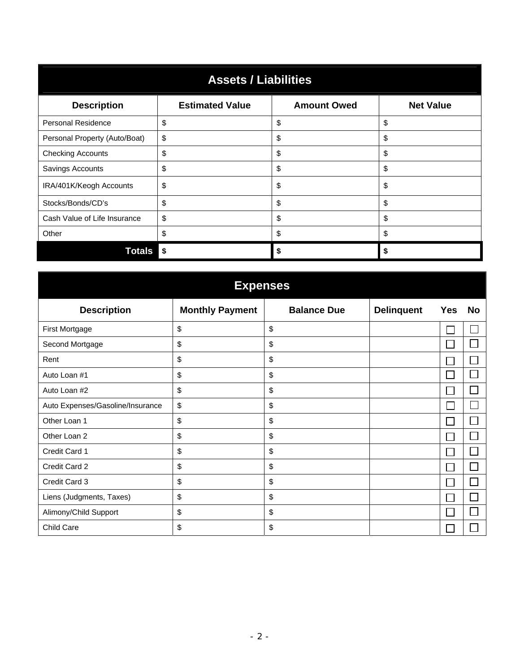| <b>Assets / Liabilities</b>   |                        |                    |                  |  |  |
|-------------------------------|------------------------|--------------------|------------------|--|--|
| <b>Description</b>            | <b>Estimated Value</b> | <b>Amount Owed</b> | <b>Net Value</b> |  |  |
| <b>Personal Residence</b>     | \$                     | \$                 | \$               |  |  |
| Personal Property (Auto/Boat) | \$                     | \$                 | \$               |  |  |
| <b>Checking Accounts</b>      | \$                     | \$                 | \$               |  |  |
| Savings Accounts              | \$                     | \$                 | \$               |  |  |
| IRA/401K/Keogh Accounts       | \$                     | \$                 | \$               |  |  |
| Stocks/Bonds/CD's             | \$                     | \$                 | \$               |  |  |
| Cash Value of Life Insurance  | \$                     | \$                 | \$               |  |  |
| Other                         | \$                     | \$                 | \$               |  |  |
| <b>Totals</b>                 | - \$                   | S                  | \$               |  |  |

| <b>Expenses</b>                  |                        |                    |                   |            |              |  |
|----------------------------------|------------------------|--------------------|-------------------|------------|--------------|--|
| <b>Description</b>               | <b>Monthly Payment</b> | <b>Balance Due</b> | <b>Delinquent</b> | <b>Yes</b> | No           |  |
| First Mortgage                   | \$                     | \$                 |                   |            | $\mathbf{I}$ |  |
| Second Mortgage                  | \$                     | \$                 |                   |            |              |  |
| Rent                             | \$                     | \$                 |                   |            |              |  |
| Auto Loan #1                     | \$                     | \$                 |                   |            |              |  |
| Auto Loan #2                     | \$                     | \$                 |                   |            |              |  |
| Auto Expenses/Gasoline/Insurance | \$                     | \$                 |                   |            |              |  |
| Other Loan 1                     | \$                     | \$                 |                   |            |              |  |
| Other Loan 2                     | \$                     | \$                 |                   |            |              |  |
| Credit Card 1                    | \$                     | \$                 |                   |            |              |  |
| Credit Card 2                    | \$                     | \$                 |                   |            |              |  |
| Credit Card 3                    | \$                     | \$                 |                   |            |              |  |
| Liens (Judgments, Taxes)         | \$                     | \$                 |                   |            |              |  |
| Alimony/Child Support            | \$                     | \$                 |                   |            |              |  |
| Child Care                       | \$                     | \$                 |                   |            |              |  |